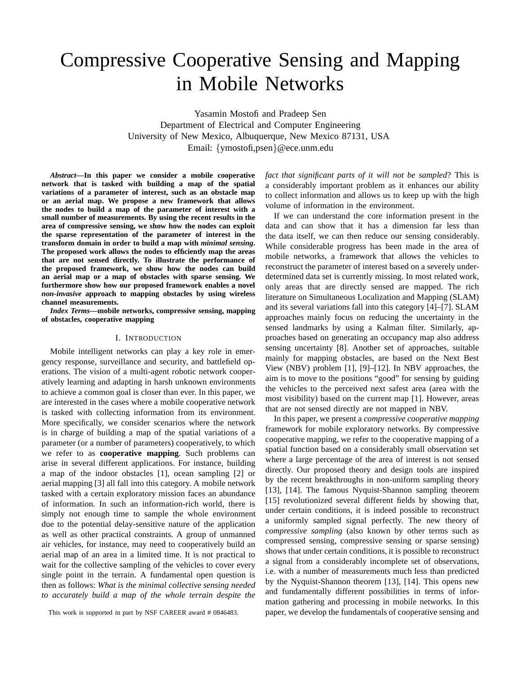# Compressive Cooperative Sensing and Mapping in Mobile Networks

Yasamin Mostofi and Pradeep Sen Department of Electrical and Computer Engineering University of New Mexico, Albuquerque, New Mexico 87131, USA Email: {ymostofi,psen}@ece.unm.edu

*Abstract***—In this paper we consider a mobile cooperative network that is tasked with building a map of the spatial variations of a parameter of interest, such as an obstacle map or an aerial map. We propose a new framework that allows the nodes to build a map of the parameter of interest with a small number of measurements. By using the recent results in the area of compressive sensing, we show how the nodes can exploit the sparse representation of the parameter of interest in the transform domain in order to build a map with** *minimal sensing***. The proposed work allows the nodes to efficiently map the areas that are not sensed directly. To illustrate the performance of the proposed framework, we show how the nodes can build an aerial map or a map of obstacles with sparse sensing. We furthermore show how our proposed framework enables a novel** *non-invasive* **approach to mapping obstacles by using wireless channel measurements.**

*Index Terms***—mobile networks, compressive sensing, mapping of obstacles, cooperative mapping**

#### I. INTRODUCTION

Mobile intelligent networks can play a key role in emergency response, surveillance and security, and battlefield operations. The vision of a multi-agent robotic network cooperatively learning and adapting in harsh unknown environments to achieve a common goal is closer than ever. In this paper, we are interested in the cases where a mobile cooperative network is tasked with collecting information from its environment. More specifically, we consider scenarios where the network is in charge of building a map of the spatial variations of a parameter (or a number of parameters) cooperatively, to which we refer to as **cooperative mapping**. Such problems can arise in several different applications. For instance, building a map of the indoor obstacles [1], ocean sampling [2] or aerial mapping [3] all fall into this category. A mobile network tasked with a certain exploratory mission faces an abundance of information. In such an information-rich world, there is simply not enough time to sample the whole environment due to the potential delay-sensitive nature of the application as well as other practical constraints. A group of unmanned air vehicles, for instance, may need to cooperatively build an aerial map of an area in a limited time. It is not practical to wait for the collective sampling of the vehicles to cover every single point in the terrain. A fundamental open question is then as follows: *What is the minimal collective sensing needed to accurately build a map of the whole terrain despite the*

*fact that significant parts of it will not be sampled*? This is a considerably important problem as it enhances our ability to collect information and allows us to keep up with the high volume of information in the environment.

If we can understand the core information present in the data and can show that it has a dimension far less than the data itself, we can then reduce our sensing considerably. While considerable progress has been made in the area of mobile networks, a framework that allows the vehicles to reconstruct the parameter of interest based on a severely underdetermined data set is currently missing. In most related work, only areas that are directly sensed are mapped. The rich literature on Simultaneous Localization and Mapping (SLAM) and its several variations fall into this category [4]–[7]. SLAM approaches mainly focus on reducing the uncertainty in the sensed landmarks by using a Kalman filter. Similarly, approaches based on generating an occupancy map also address sensing uncertainty [8]. Another set of approaches, suitable mainly for mapping obstacles, are based on the Next Best View (NBV) problem [1], [9]–[12]. In NBV approaches, the aim is to move to the positions "good" for sensing by guiding the vehicles to the perceived next safest area (area with the most visibility) based on the current map [1]. However, areas that are not sensed directly are not mapped in NBV.

In this paper, we present a *compressive cooperative mapping* framework for mobile exploratory networks. By compressive cooperative mapping, we refer to the cooperative mapping of a spatial function based on a considerably small observation set where a large percentage of the area of interest is not sensed directly. Our proposed theory and design tools are inspired by the recent breakthroughs in non-uniform sampling theory [13], [14]. The famous Nyquist-Shannon sampling theorem [15] revolutionized several different fields by showing that, under certain conditions, it is indeed possible to reconstruct a uniformly sampled signal perfectly. The new theory of *compressive sampling* (also known by other terms such as compressed sensing, compressive sensing or sparse sensing) shows that under certain conditions, it is possible to reconstruct a signal from a considerably incomplete set of observations, i.e. with a number of measurements much less than predicted by the Nyquist-Shannon theorem [13], [14]. This opens new and fundamentally different possibilities in terms of information gathering and processing in mobile networks. In this paper, we develop the fundamentals of cooperative sensing and

This work is supported in part by NSF CAREER award # 0846483.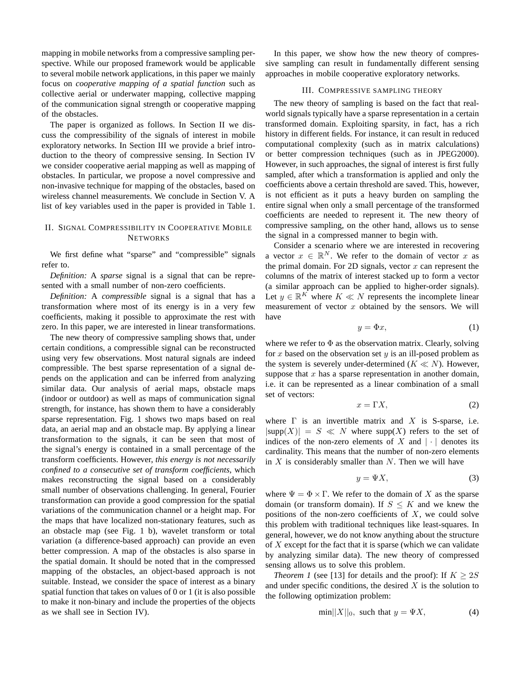mapping in mobile networks from a compressive sampling perspective. While our proposed framework would be applicable to several mobile network applications, in this paper we mainly focus on *cooperative mapping of a spatial function* such as collective aerial or underwater mapping, collective mapping of the communication signal strength or cooperative mapping of the obstacles.

The paper is organized as follows. In Section II we discuss the compressibility of the signals of interest in mobile exploratory networks. In Section III we provide a brief introduction to the theory of compressive sensing. In Section IV we consider cooperative aerial mapping as well as mapping of obstacles. In particular, we propose a novel compressive and non-invasive technique for mapping of the obstacles, based on wireless channel measurements. We conclude in Section V. A list of key variables used in the paper is provided in Table 1.

## II. SIGNAL COMPRESSIBILITY IN COOPERATIVE MOBILE **NETWORKS**

We first define what "sparse" and "compressible" signals refer to.

*Definition:* A *sparse* signal is a signal that can be represented with a small number of non-zero coefficients.

*Definition:* A *compressible* signal is a signal that has a transformation where most of its energy is in a very few coefficients, making it possible to approximate the rest with zero. In this paper, we are interested in linear transformations.

The new theory of compressive sampling shows that, under certain conditions, a compressible signal can be reconstructed using very few observations. Most natural signals are indeed compressible. The best sparse representation of a signal depends on the application and can be inferred from analyzing similar data. Our analysis of aerial maps, obstacle maps (indoor or outdoor) as well as maps of communication signal strength, for instance, has shown them to have a considerably sparse representation. Fig. 1 shows two maps based on real data, an aerial map and an obstacle map. By applying a linear transformation to the signals, it can be seen that most of the signal's energy is contained in a small percentage of the transform coefficients. However, *this energy is not necessarily confined to a consecutive set of transform coefficients*, which makes reconstructing the signal based on a considerably small number of observations challenging. In general, Fourier transformation can provide a good compression for the spatial variations of the communication channel or a height map. For the maps that have localized non-stationary features, such as an obstacle map (see Fig. 1 b), wavelet transform or total variation (a difference-based approach) can provide an even better compression. A map of the obstacles is also sparse in the spatial domain. It should be noted that in the compressed mapping of the obstacles, an object-based approach is not suitable. Instead, we consider the space of interest as a binary spatial function that takes on values of 0 or 1 (it is also possible to make it non-binary and include the properties of the objects as we shall see in Section IV).

In this paper, we show how the new theory of compressive sampling can result in fundamentally different sensing approaches in mobile cooperative exploratory networks.

## III. COMPRESSIVE SAMPLING THEORY

The new theory of sampling is based on the fact that realworld signals typically have a sparse representation in a certain transformed domain. Exploiting sparsity, in fact, has a rich history in different fields. For instance, it can result in reduced computational complexity (such as in matrix calculations) or better compression techniques (such as in JPEG2000). However, in such approaches, the signal of interest is first fully sampled, after which a transformation is applied and only the coefficients above a certain threshold are saved. This, however, is not efficient as it puts a heavy burden on sampling the entire signal when only a small percentage of the transformed coefficients are needed to represent it. The new theory of compressive sampling, on the other hand, allows us to sense the signal in a compressed manner to begin with.

Consider a scenario where we are interested in recovering a vector  $x \in \mathbb{R}^N$ . We refer to the domain of vector x as the primal domain. For 2D signals, vector  $x$  can represent the columns of the matrix of interest stacked up to form a vector (a similar approach can be applied to higher-order signals). Let  $y \in \mathbb{R}^K$  where  $K \ll N$  represents the incomplete linear measurement of vector  $x$  obtained by the sensors. We will have

$$
y = \Phi x,\tag{1}
$$

where we refer to  $\Phi$  as the observation matrix. Clearly, solving for x based on the observation set  $y$  is an ill-posed problem as the system is severely under-determined ( $K \ll N$ ). However, suppose that  $x$  has a sparse representation in another domain, i.e. it can be represented as a linear combination of a small set of vectors:

$$
x = \Gamma X,\tag{2}
$$

where  $\Gamma$  is an invertible matrix and X is S-sparse, i.e.  $|\text{supp}(X)| = S \ll N$  where supp $(X)$  refers to the set of indices of the non-zero elements of X and  $|\cdot|$  denotes its cardinality. This means that the number of non-zero elements in  $X$  is considerably smaller than  $N$ . Then we will have

$$
y = \Psi X,\tag{3}
$$

where  $\Psi = \Phi \times \Gamma$ . We refer to the domain of X as the sparse domain (or transform domain). If  $S \leq K$  and we knew the positions of the non-zero coefficients of  $X$ , we could solve this problem with traditional techniques like least-squares. In general, however, we do not know anything about the structure of  $X$  except for the fact that it is sparse (which we can validate by analyzing similar data). The new theory of compressed sensing allows us to solve this problem.

*Theorem 1* (see [13] for details and the proof): If  $K \geq 2S$ and under specific conditions, the desired  $X$  is the solution to the following optimization problem:

$$
\min||X||_0, \text{ such that } y = \Psi X,\tag{4}
$$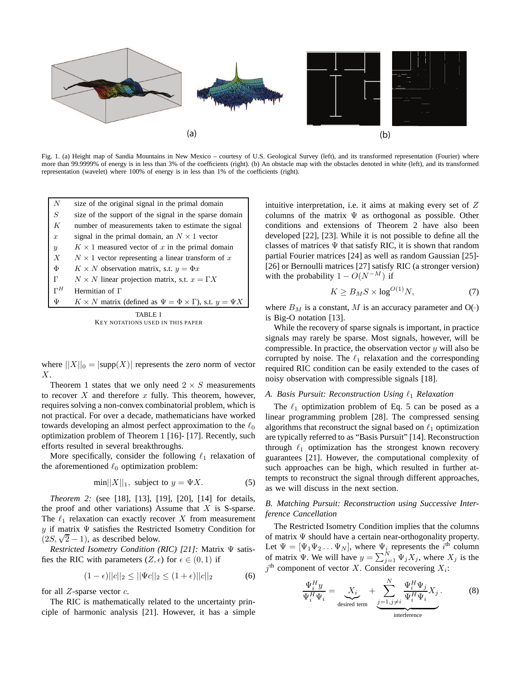

Fig. 1. (a) Height map of Sandia Mountains in New Mexico – courtesy of U.S. Geological Survey (left), and its transformed representation (Fourier) where more than 99.9999% of energy is in less than 3% of the coefficients (right). (b) An obstacle map with the obstacles denoted in white (left), and its transformed representation (wavelet) where 100% of energy is in less than 1% of the coefficients (right).

| $\overline{N}$   | size of the original signal in the primal domain                                 |
|------------------|----------------------------------------------------------------------------------|
| $\cal S$         | size of the support of the signal in the sparse domain                           |
| $\cal K$         | number of measurements taken to estimate the signal                              |
| $\boldsymbol{x}$ | signal in the primal domain, an $N \times 1$ vector                              |
| $\boldsymbol{y}$ | $K \times 1$ measured vector of x in the primal domain                           |
| $\boldsymbol{X}$ | $N \times 1$ vector representing a linear transform of x                         |
| $\Phi$           | $K \times N$ observation matrix, s.t. $y = \Phi x$                               |
| $\Gamma$         | $N \times N$ linear projection matrix, s.t. $x = \Gamma X$                       |
| $\Gamma^H$       | Hermitian of $\Gamma$                                                            |
| Ψ                | $K \times N$ matrix (defined as $\Psi = \Phi \times \Gamma$ ), s.t. $y = \Psi X$ |
|                  | TARLE I                                                                          |

KEY NOTATIONS USED IN THIS PAPER

where  $||X||_0 = |supp(X)|$  represents the zero norm of vector X.

Theorem 1 states that we only need  $2 \times S$  measurements to recover  $X$  and therefore  $x$  fully. This theorem, however, requires solving a non-convex combinatorial problem, which is not practical. For over a decade, mathematicians have worked towards developing an almost perfect approximation to the  $\ell_0$ optimization problem of Theorem 1 [16]- [17]. Recently, such efforts resulted in several breakthroughs.

More specifically, consider the following  $\ell_1$  relaxation of the aforementioned  $\ell_0$  optimization problem:

$$
\min||X||_1, \text{ subject to } y = \Psi X. \tag{5}
$$

*Theorem 2:* (see [18], [13], [19], [20], [14] for details, the proof and other variations) Assume that  $X$  is S-sparse. The  $\ell_1$  relaxation can exactly recover X from measurement y if matrix  $\Psi$  satisfies the Restricted Isometry Condition for  $(2S, \sqrt{2}-1)$ , as described below.

*Restricted Isometry Condition (RIC) [21]:* Matrix Ψ satisfies the RIC with parameters  $(Z, \epsilon)$  for  $\epsilon \in (0, 1)$  if

$$
(1 - \epsilon) ||c||_2 \le ||\Psi c||_2 \le (1 + \epsilon) ||c||_2 \tag{6}
$$

for all  $Z$ -sparse vector  $c$ .

The RIC is mathematically related to the uncertainty principle of harmonic analysis [21]. However, it has a simple intuitive interpretation, i.e. it aims at making every set of  $Z$ columns of the matrix  $\Psi$  as orthogonal as possible. Other conditions and extensions of Theorem 2 have also been developed [22], [23]. While it is not possible to define all the classes of matrices  $\Psi$  that satisfy RIC, it is shown that random partial Fourier matrices [24] as well as random Gaussian [25]- [26] or Bernoulli matrices [27] satisfy RIC (a stronger version) with the probability  $1 - O(N^{-M})$  if

$$
K \ge B_M S \times \log^{O(1)} N,\tag{7}
$$

where  $B_M$  is a constant, M is an accuracy parameter and  $O(·)$ is Big-O notation [13].

While the recovery of sparse signals is important, in practice signals may rarely be sparse. Most signals, however, will be compressible. In practice, the observation vector  $y$  will also be corrupted by noise. The  $\ell_1$  relaxation and the corresponding required RIC condition can be easily extended to the cases of noisy observation with compressible signals [18].

#### *A. Basis Pursuit: Reconstruction Using*  $\ell_1$  *Relaxation*

The  $\ell_1$  optimization problem of Eq. 5 can be posed as a linear programming problem [28]. The compressed sensing algorithms that reconstruct the signal based on  $\ell_1$  optimization are typically referred to as "Basis Pursuit" [14]. Reconstruction through  $\ell_1$  optimization has the strongest known recovery guarantees [21]. However, the computational complexity of such approaches can be high, which resulted in further attempts to reconstruct the signal through different approaches, as we will discuss in the next section.

# *B. Matching Pursuit: Reconstruction using Successive Interference Cancellation*

The Restricted Isometry Condition implies that the columns of matrix  $\Psi$  should have a certain near-orthogonality property. Let  $\Psi = [\Psi_1 \Psi_2 \dots \Psi_N]$ , where  $\Psi_i$  represents the  $i^{\text{th}}$  column of matrix  $\Psi$ . We will have  $y = \sum_{j=1}^{N} \Psi_j X_j$ , where  $X_j$  is the  $j<sup>th</sup>$  component of vector X. Consider recovering  $X_i$ :

$$
\frac{\Psi_i^H y}{\Psi_i^H \Psi_i} = \underbrace{X_i}_{\text{desired term}} + \underbrace{\sum_{j=1, j \neq i}^N \frac{\Psi_i^H \Psi_j}{\Psi_i^H \Psi_i} X_j}_{\text{interference}}.
$$
\n(8)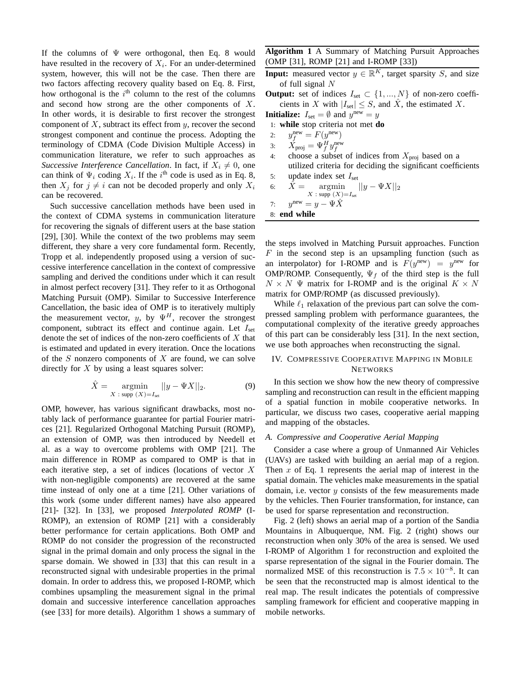If the columns of  $\Psi$  were orthogonal, then Eq. 8 would have resulted in the recovery of  $X_i$ . For an under-determined system, however, this will not be the case. Then there are two factors affecting recovery quality based on Eq. 8. First, how orthogonal is the  $i<sup>th</sup>$  column to the rest of the columns and second how strong are the other components of X. In other words, it is desirable to first recover the strongest component of  $X$ , subtract its effect from  $y$ , recover the second strongest component and continue the process. Adopting the terminology of CDMA (Code Division Multiple Access) in communication literature, we refer to such approaches as *Successive Interference Cancellation.* In fact, if  $X_i \neq 0$ , one can think of  $\Psi_i$  coding  $X_i$ . If the  $i^{\text{th}}$  code is used as in Eq. 8, then  $X_i$  for  $j \neq i$  can not be decoded properly and only  $X_i$ can be recovered.

Such successive cancellation methods have been used in the context of CDMA systems in communication literature for recovering the signals of different users at the base station [29], [30]. While the context of the two problems may seem different, they share a very core fundamental form. Recently, Tropp et al. independently proposed using a version of successive interference cancellation in the context of compressive sampling and derived the conditions under which it can result in almost perfect recovery [31]. They refer to it as Orthogonal Matching Pursuit (OMP). Similar to Successive Interference Cancellation, the basic idea of OMP is to iteratively multiply the measurement vector, y, by  $\Psi^H$ , recover the strongest component, subtract its effect and continue again. Let  $I_{\text{set}}$ denote the set of indices of the non-zero coefficients of  $X$  that is estimated and updated in every iteration. Once the locations of the  $S$  nonzero components of  $X$  are found, we can solve directly for  $X$  by using a least squares solver:

$$
\hat{X} = \underset{X \; : \; \text{supp} (X) = I_{\text{set}}} {\text{argmin}} ||y - \Psi X||_2. \tag{9}
$$

OMP, however, has various significant drawbacks, most notably lack of performance guarantee for partial Fourier matrices [21]. Regularized Orthogonal Matching Pursuit (ROMP), an extension of OMP, was then introduced by Needell et al. as a way to overcome problems with OMP [21]. The main difference in ROMP as compared to OMP is that in each iterative step, a set of indices (locations of vector X with non-negligible components) are recovered at the same time instead of only one at a time [21]. Other variations of this work (some under different names) have also appeared [21]- [32]. In [33], we proposed *Interpolated ROMP* (I-ROMP), an extension of ROMP [21] with a considerably better performance for certain applications. Both OMP and ROMP do not consider the progression of the reconstructed signal in the primal domain and only process the signal in the sparse domain. We showed in [33] that this can result in a reconstructed signal with undesirable properties in the primal domain. In order to address this, we proposed I-ROMP, which combines upsampling the measurement signal in the primal domain and successive interference cancellation approaches (see [33] for more details). Algorithm 1 shows a summary of

# **Algorithm 1** A Summary of Matching Pursuit Approaches (OMP [31], ROMP [21] and I-ROMP [33])

**Input:** measured vector  $y \in \mathbb{R}^K$ , target sparsity S, and size of full signal  $N$ 

**Output:** set of indices  $I_{set} \subset \{1, ..., N\}$  of non-zero coefficients in X with  $|I_{\text{set}}| \leq S$ , and  $\hat{X}$ , the estimated X.

**Initialize:**  $I_{\text{set}} = \emptyset$  and  $y^{\text{new}} = y$ 

- 1: **while** stop criteria not met **do**
- 2:  $y_f^{\text{new}} = F(y^{\text{new}})$

3: 
$$
\ddot{X}_{\text{proj}} = \Psi_f^H y_f^{\text{new}}
$$

4: choose a subset of indices from  $X_{\text{proj}}$  based on a utilized criteria for deciding the significant coefficients 5: update index set  $I_{\text{set}}$ 

6: 
$$
\hat{X} = \underset{X \text{ supp } (X) = I_{\text{set}}}{\operatorname{argmin}} ||y - \Psi X||_2
$$
  
7:  $y^{\text{new}} = y - \Psi \hat{X}$   
8: **end while**

the steps involved in Matching Pursuit approaches. Function  $F$  in the second step is an upsampling function (such as an interpolator) for I-ROMP and is  $F(y^{new}) = y^{new}$  for OMP/ROMP. Consequently,  $\Psi_f$  of the third step is the full  $N \times N$  Ψ matrix for I-ROMP and is the original  $K \times N$ matrix for OMP/ROMP (as discussed previously).

While  $\ell_1$  relaxation of the previous part can solve the compressed sampling problem with performance guarantees, the computational complexity of the iterative greedy approaches of this part can be considerably less [31]. In the next section, we use both approaches when reconstructing the signal.

# IV. COMPRESSIVE COOPERATIVE MAPPING IN MOBILE **NETWORKS**

In this section we show how the new theory of compressive sampling and reconstruction can result in the efficient mapping of a spatial function in mobile cooperative networks. In particular, we discuss two cases, cooperative aerial mapping and mapping of the obstacles.

## *A. Compressive and Cooperative Aerial Mapping*

Consider a case where a group of Unmanned Air Vehicles (UAVs) are tasked with building an aerial map of a region. Then  $x$  of Eq. 1 represents the aerial map of interest in the spatial domain. The vehicles make measurements in the spatial domain, i.e. vector  $y$  consists of the few measurements made by the vehicles. Then Fourier transformation, for instance, can be used for sparse representation and reconstruction.

Fig. 2 (left) shows an aerial map of a portion of the Sandia Mountains in Albuquerque, NM. Fig. 2 (right) shows our reconstruction when only 30% of the area is sensed. We used I-ROMP of Algorithm 1 for reconstruction and exploited the sparse representation of the signal in the Fourier domain. The normalized MSE of this reconstruction is  $7.5 \times 10^{-8}$ . It can be seen that the reconstructed map is almost identical to the real map. The result indicates the potentials of compressive sampling framework for efficient and cooperative mapping in mobile networks.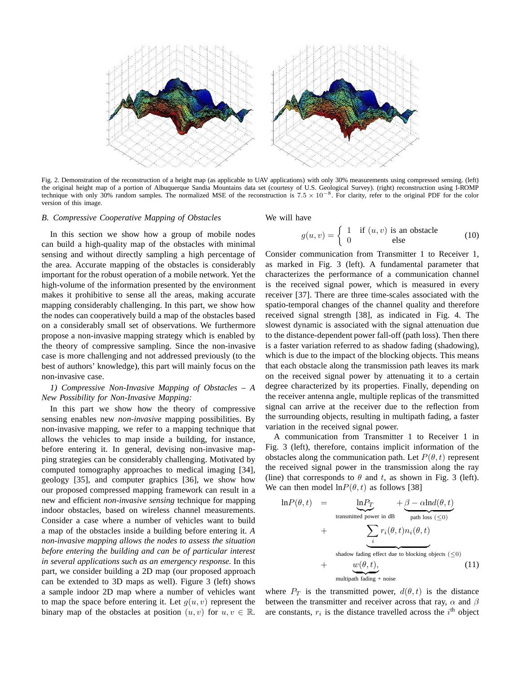

Fig. 2. Demonstration of the reconstruction of a height map (as applicable to UAV applications) with only 30% measurements using compressed sensing. (left) the original height map of a portion of Albuquerque Sandia Mountains data set (courtesy of U.S. Geological Survey). (right) reconstruction using I-ROMP technique with only 30% random samples. The normalized MSE of the reconstruction is  $7.5 \times 10^{-8}$ . For clarity, refer to the original PDF for the color version of this image.

#### *B. Compressive Cooperative Mapping of Obstacles*

In this section we show how a group of mobile nodes can build a high-quality map of the obstacles with minimal sensing and without directly sampling a high percentage of the area. Accurate mapping of the obstacles is considerably important for the robust operation of a mobile network. Yet the high-volume of the information presented by the environment makes it prohibitive to sense all the areas, making accurate mapping considerably challenging. In this part, we show how the nodes can cooperatively build a map of the obstacles based on a considerably small set of observations. We furthermore propose a non-invasive mapping strategy which is enabled by the theory of compressive sampling. Since the non-invasive case is more challenging and not addressed previously (to the best of authors' knowledge), this part will mainly focus on the non-invasive case.

# *1) Compressive Non-Invasive Mapping of Obstacles – A New Possibility for Non-Invasive Mapping:*

In this part we show how the theory of compressive sensing enables new *non-invasive* mapping possibilities. By non-invasive mapping, we refer to a mapping technique that allows the vehicles to map inside a building, for instance, before entering it. In general, devising non-invasive mapping strategies can be considerably challenging. Motivated by computed tomography approaches to medical imaging [34], geology [35], and computer graphics [36], we show how our proposed compressed mapping framework can result in a new and efficient *non-invasive sensing* technique for mapping indoor obstacles, based on wireless channel measurements. Consider a case where a number of vehicles want to build a map of the obstacles inside a building before entering it. *A non-invasive mapping allows the nodes to assess the situation before entering the building and can be of particular interest in several applications such as an emergency response.* In this part, we consider building a 2D map (our proposed approach can be extended to 3D maps as well). Figure 3 (left) shows a sample indoor 2D map where a number of vehicles want to map the space before entering it. Let  $g(u, v)$  represent the binary map of the obstacles at position  $(u, v)$  for  $u, v \in \mathbb{R}$ .

We will have

$$
g(u, v) = \begin{cases} 1 & \text{if } (u, v) \text{ is an obstacle} \\ 0 & \text{else} \end{cases}
$$
 (10)

Consider communication from Transmitter 1 to Receiver 1, as marked in Fig. 3 (left). A fundamental parameter that characterizes the performance of a communication channel is the received signal power, which is measured in every receiver [37]. There are three time-scales associated with the spatio-temporal changes of the channel quality and therefore received signal strength [38], as indicated in Fig. 4. The slowest dynamic is associated with the signal attenuation due to the distance-dependent power fall-off (path loss). Then there is a faster variation referred to as shadow fading (shadowing), which is due to the impact of the blocking objects. This means that each obstacle along the transmission path leaves its mark on the received signal power by attenuating it to a certain degree characterized by its properties. Finally, depending on the receiver antenna angle, multiple replicas of the transmitted signal can arrive at the receiver due to the reflection from the surrounding objects, resulting in multipath fading, a faster variation in the received signal power.

A communication from Transmitter 1 to Receiver 1 in Fig. 3 (left), therefore, contains implicit information of the obstacles along the communication path. Let  $P(\theta, t)$  represent the received signal power in the transmission along the ray (line) that corresponds to  $\theta$  and t, as shown in Fig. 3 (left). We can then model  $\ln P(\theta, t)$  as follows [38]

$$
\ln P(\theta, t) = \underbrace{\ln P_T}_{\text{transmitted power in dB}} + \underbrace{\beta - \alpha \ln d(\theta, t)}_{\text{path loss (\leq 0)}} + \underbrace{\sum_{i} r_i(\theta, t) n_i(\theta, t)}_{\text{shadow fading effect due to blocking objects (\leq 0)} + \underbrace{w(\theta, t)}_{\text{multipath fading + noise}},
$$
\n(11)

where  $P_T$  is the transmitted power,  $d(\theta, t)$  is the distance between the transmitter and receiver across that ray,  $\alpha$  and  $\beta$ are constants,  $r_i$  is the distance travelled across the  $i<sup>th</sup>$  object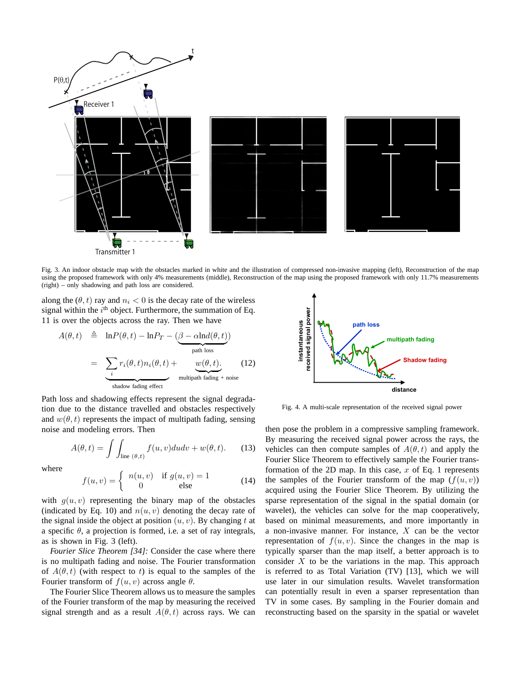





Fig. 3. An indoor obstacle map with the obstacles marked in white and the illustration of compressed non-invasive mapping (left), Reconstruction of the map using the proposed framework with only 4% measurements (middle), Reconstruction of the map using the proposed framework with only 11.7% measurements (right) – only shadowing and path loss are considered.

along the  $(\theta, t)$  ray and  $n_i < 0$  is the decay rate of the wireless signal within the  $i<sup>th</sup>$  object. Furthermore, the summation of Eq. 11 is over the objects across the ray. Then we have

$$
A(\theta, t) \triangleq \ln P(\theta, t) - \ln P_T - (\underbrace{\beta - \alpha \ln d(\theta, t)}_{\text{path loss}})
$$

$$
= \underbrace{\sum_{i} r_i(\theta, t) n_i(\theta, t)}_{\text{shadow fading effect}} + \underbrace{w(\theta, t)}_{\text{multipath fading + noise}}.
$$
(12)

Path loss and shadowing effects represent the signal degradation due to the distance travelled and obstacles respectively and  $w(\theta, t)$  represents the impact of multipath fading, sensing noise and modeling errors. Then

$$
A(\theta, t) = \int \int_{\text{line }(\theta, t)} f(u, v) du dv + w(\theta, t). \tag{13}
$$

where

$$
f(u,v) = \begin{cases} n(u,v) & \text{if } g(u,v) = 1\\ 0 & \text{else} \end{cases}
$$
 (14)

with  $g(u, v)$  representing the binary map of the obstacles (indicated by Eq. 10) and  $n(u, v)$  denoting the decay rate of the signal inside the object at position  $(u, v)$ . By changing t at a specific  $\theta$ , a projection is formed, i.e. a set of ray integrals, as is shown in Fig. 3 (left).

*Fourier Slice Theorem [34]:* Consider the case where there is no multipath fading and noise. The Fourier transformation of  $A(\theta, t)$  (with respect to t) is equal to the samples of the Fourier transform of  $f(u, v)$  across angle  $\theta$ .

The Fourier Slice Theorem allows us to measure the samples of the Fourier transform of the map by measuring the received signal strength and as a result  $A(\theta, t)$  across rays. We can



Fig. 4. A multi-scale representation of the received signal power

then pose the problem in a compressive sampling framework. By measuring the received signal power across the rays, the vehicles can then compute samples of  $A(\theta, t)$  and apply the Fourier Slice Theorem to effectively sample the Fourier transformation of the 2D map. In this case,  $x$  of Eq. 1 represents the samples of the Fourier transform of the map  $(f(u, v))$ acquired using the Fourier Slice Theorem. By utilizing the sparse representation of the signal in the spatial domain (or wavelet), the vehicles can solve for the map cooperatively, based on minimal measurements, and more importantly in a non-invasive manner. For instance,  $X$  can be the vector representation of  $f(u, v)$ . Since the changes in the map is typically sparser than the map itself, a better approach is to consider  $X$  to be the variations in the map. This approach is referred to as Total Variation (TV) [13], which we will use later in our simulation results. Wavelet transformation can potentially result in even a sparser representation than TV in some cases. By sampling in the Fourier domain and reconstructing based on the sparsity in the spatial or wavelet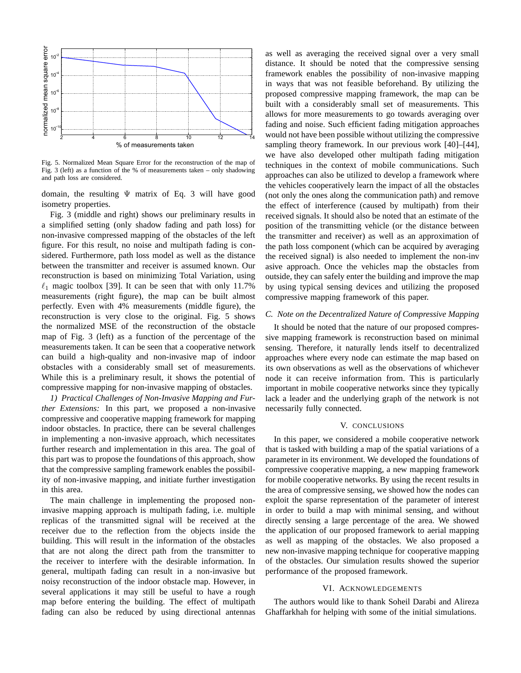

Fig. 5. Normalized Mean Square Error for the reconstruction of the map of Fig. 3 (left) as a function of the % of measurements taken – only shadowing and path loss are considered.

domain, the resulting  $\Psi$  matrix of Eq. 3 will have good isometry properties.

Fig. 3 (middle and right) shows our preliminary results in a simplified setting (only shadow fading and path loss) for non-invasive compressed mapping of the obstacles of the left figure. For this result, no noise and multipath fading is considered. Furthermore, path loss model as well as the distance between the transmitter and receiver is assumed known. Our reconstruction is based on minimizing Total Variation, using  $\ell_1$  magic toolbox [39]. It can be seen that with only 11.7% measurements (right figure), the map can be built almost perfectly. Even with 4% measurements (middle figure), the reconstruction is very close to the original. Fig. 5 shows the normalized MSE of the reconstruction of the obstacle map of Fig. 3 (left) as a function of the percentage of the measurements taken. It can be seen that a cooperative network can build a high-quality and non-invasive map of indoor obstacles with a considerably small set of measurements. While this is a preliminary result, it shows the potential of compressive mapping for non-invasive mapping of obstacles.

*1) Practical Challenges of Non-Invasive Mapping and Further Extensions:* In this part, we proposed a non-invasive compressive and cooperative mapping framework for mapping indoor obstacles. In practice, there can be several challenges in implementing a non-invasive approach, which necessitates further research and implementation in this area. The goal of this part was to propose the foundations of this approach, show that the compressive sampling framework enables the possibility of non-invasive mapping, and initiate further investigation in this area.

The main challenge in implementing the proposed noninvasive mapping approach is multipath fading, i.e. multiple replicas of the transmitted signal will be received at the receiver due to the reflection from the objects inside the building. This will result in the information of the obstacles that are not along the direct path from the transmitter to the receiver to interfere with the desirable information. In general, multipath fading can result in a non-invasive but noisy reconstruction of the indoor obstacle map. However, in several applications it may still be useful to have a rough map before entering the building. The effect of multipath fading can also be reduced by using directional antennas as well as averaging the received signal over a very small distance. It should be noted that the compressive sensing framework enables the possibility of non-invasive mapping in ways that was not feasible beforehand. By utilizing the proposed compressive mapping framework, the map can be built with a considerably small set of measurements. This allows for more measurements to go towards averaging over fading and noise. Such efficient fading mitigation approaches would not have been possible without utilizing the compressive sampling theory framework. In our previous work [40]–[44], we have also developed other multipath fading mitigation techniques in the context of mobile communications. Such approaches can also be utilized to develop a framework where the vehicles cooperatively learn the impact of all the obstacles (not only the ones along the communication path) and remove the effect of interference (caused by multipath) from their received signals. It should also be noted that an estimate of the position of the transmitting vehicle (or the distance between the transmitter and receiver) as well as an approximation of the path loss component (which can be acquired by averaging the received signal) is also needed to implement the non-inv asive approach. Once the vehicles map the obstacles from outside, they can safely enter the building and improve the map by using typical sensing devices and utilizing the proposed compressive mapping framework of this paper.

## *C. Note on the Decentralized Nature of Compressive Mapping*

It should be noted that the nature of our proposed compressive mapping framework is reconstruction based on minimal sensing. Therefore, it naturally lends itself to decentralized approaches where every node can estimate the map based on its own observations as well as the observations of whichever node it can receive information from. This is particularly important in mobile cooperative networks since they typically lack a leader and the underlying graph of the network is not necessarily fully connected.

#### V. CONCLUSIONS

In this paper, we considered a mobile cooperative network that is tasked with building a map of the spatial variations of a parameter in its environment. We developed the foundations of compressive cooperative mapping, a new mapping framework for mobile cooperative networks. By using the recent results in the area of compressive sensing, we showed how the nodes can exploit the sparse representation of the parameter of interest in order to build a map with minimal sensing, and without directly sensing a large percentage of the area. We showed the application of our proposed framework to aerial mapping as well as mapping of the obstacles. We also proposed a new non-invasive mapping technique for cooperative mapping of the obstacles. Our simulation results showed the superior performance of the proposed framework.

### VI. ACKNOWLEDGEMENTS

The authors would like to thank Soheil Darabi and Alireza Ghaffarkhah for helping with some of the initial simulations.